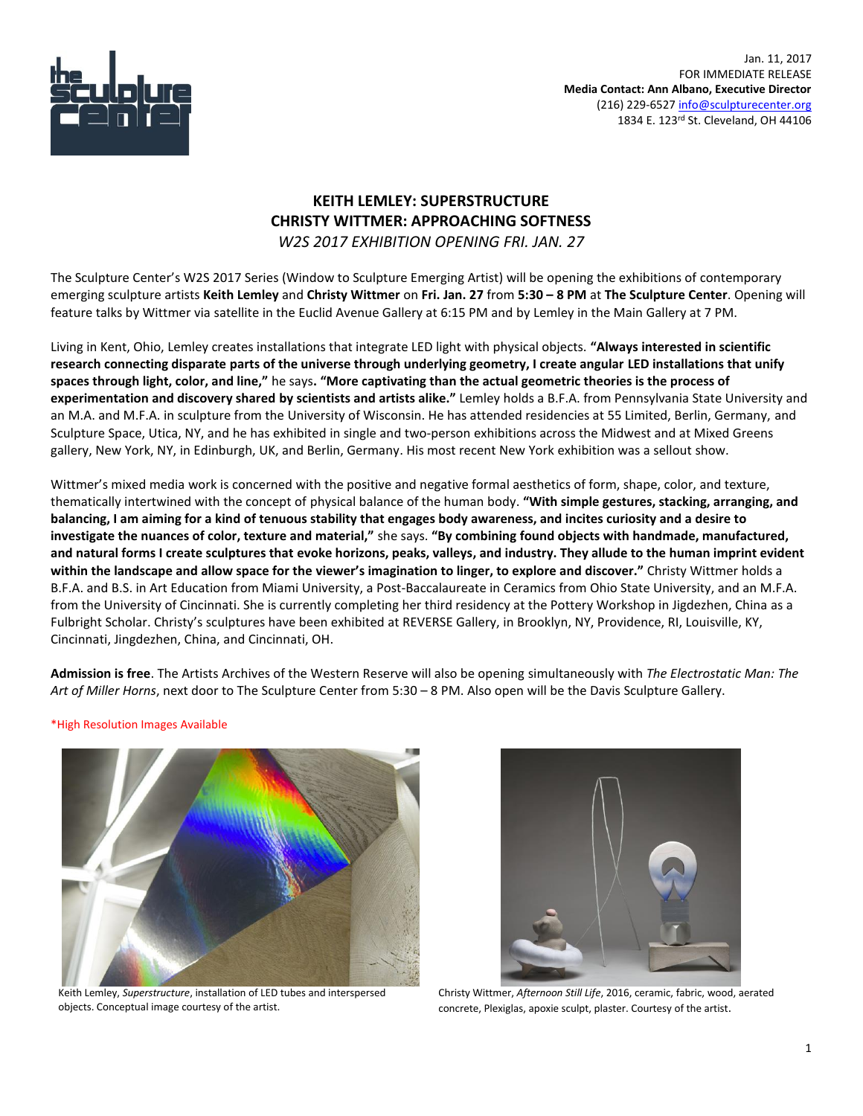

## **KEITH LEMLEY: SUPERSTRUCTURE CHRISTY WITTMER: APPROACHING SOFTNESS** *W2S 2017 EXHIBITION OPENING FRI. JAN. 27*

The Sculpture Center's W2S 2017 Series (Window to Sculpture Emerging Artist) will be opening the exhibitions of contemporary emerging sculpture artists **Keith Lemley** and **Christy Wittmer** on **Fri. Jan. 27** from **5:30 – 8 PM** at **The Sculpture Center**. Opening will feature talks by Wittmer via satellite in the Euclid Avenue Gallery at 6:15 PM and by Lemley in the Main Gallery at 7 PM.

Living in Kent, Ohio, Lemley creates installations that integrate LED light with physical objects. **"Always interested in scientific research connecting disparate parts of the universe through underlying geometry, I create angular LED installations that unify spaces through light, color, and line,"** he says**. "More captivating than the actual geometric theories is the process of experimentation and discovery shared by scientists and artists alike."** Lemley holds a B.F.A. from Pennsylvania State University and an M.A. and M.F.A. in sculpture from the University of Wisconsin. He has attended residencies at 55 Limited, Berlin, Germany, and Sculpture Space, Utica, NY, and he has exhibited in single and two-person exhibitions across the Midwest and at Mixed Greens gallery, New York, NY, in Edinburgh, UK, and Berlin, Germany. His most recent New York exhibition was a sellout show.

Wittmer's mixed media work is concerned with the positive and negative formal aesthetics of form, shape, color, and texture, thematically intertwined with the concept of physical balance of the human body. **"With simple gestures, stacking, arranging, and balancing, I am aiming for a kind of tenuous stability that engages body awareness, and incites curiosity and a desire to investigate the nuances of color, texture and material,"** she says. **"By combining found objects with handmade, manufactured, and natural forms I create sculptures that evoke horizons, peaks, valleys, and industry. They allude to the human imprint evident within the landscape and allow space for the viewer's imagination to linger, to explore and discover."** Christy Wittmer holds a B.F.A. and B.S. in Art Education from Miami University, a Post-Baccalaureate in Ceramics from Ohio State University, and an M.F.A. from the University of Cincinnati. She is currently completing her third residency at the Pottery Workshop in Jigdezhen, China as a Fulbright Scholar. Christy's sculptures have been exhibited at REVERSE Gallery, in Brooklyn, NY, Providence, RI, Louisville, KY, Cincinnati, Jingdezhen, China, and Cincinnati, OH.

**Admission is free**. The Artists Archives of the Western Reserve will also be opening simultaneously with *The Electrostatic Man: The Art of Miller Horns*, next door to The Sculpture Center from 5:30 – 8 PM. Also open will be the Davis Sculpture Gallery.

\*High Resolution Images Available



Keith Lemley, *Superstructure*, installation of LED tubes and interspersed objects. Conceptual image courtesy of the artist.



Christy Wittmer, *Afternoon Still Life*, 2016, ceramic, fabric, wood, aerated concrete, Plexiglas, apoxie sculpt, plaster. Courtesy of the artist.